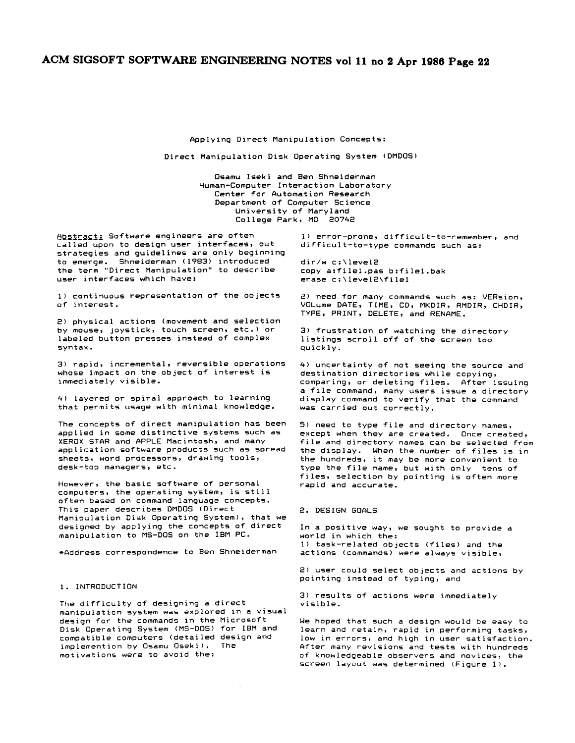Applying Direct Manipulation Concepts:

Direct Manipulation Disk Operating System (DMDOS)

Osamu Iseki and Ben Shneiderman Human-Computer Interaction Laboratory Center for Automation Research Department of Computer Science University of Maryland College Park, MD 2074e

Abstract: Software engineers are often called upon to design user interfaces, but strategies and guidelines are only beginning to emerge. Shneiderman (1983) introduced the term "Direct Manipulation" to describe user interfaces which have:

i) continuous representation of the objects of interest.

2) physical actions (movement and selection by mouse, joystick, touch screen, etc.) or labeled button presses instead of complex syntax.

3) rapid, incremental, reversible operations whose impact on the object of interest is immediately visible.

4) layered or spiral approach to learning that permits usage with minimal knowledge.

The concepts of direct manipulation has been applied in some distinctive systems such as XEROX STAR and APPLE Macintosh, and many application software products such as spread sheets, word processors, drawing tools, desk-top managers, etc.

However, the basic software of personal computers, the operating system, is still often based on command language concepts. This paper describes DMDOS (Direct Manipulation Disk Operating System), that we designed by applying the concepts of direct manipulation to MS-DOS on the IBM PC.

\*Address correspondence to Ben Shneiderman

#### 1. INTRODUCTION

The difficulty of designing a direct manipulation system was explored in a visual design for the commands in the Microsoft Disk Operating System (MS-DOS> for IBM and compatible computers (detailed design and implemention by Osamu Oseki). The motivations were to avoid the:

1) error-prone, difficult-to-remember, and difficult-to-type commands such as:

dir/w c:\levele copy a:filel.pas b:filel.bak erase c:\level2\file1

2) need for many commands such as: VERsion, VOLume DATE, TIME, CD, MKDIR, RMDIR, CHDIR, TYPE, PRINT, DELETE, and RENAME.

3) frustration of watching the directory listings scroll off of the screen too quickly.

4) uncertainty of not seeing the source and destination directories while copying, comparing, or deleting files. After issuing a file command, many users issue a directory display command to verify that the command was carried out correctly.

5) need to type file and directory names, except when they are created. Once created, file and directory names can be selected from the display. When the number of files is in the hundreds, it may be more convenient to type the file name, but with only ±ens of files, selection by pointing is often more rapid and accurate.

#### 2. DESIGN GOALS

In a positive way, we sought to provide a world in which the: 1) task-related objects (files) and the actions (commands) were always visible,

2) user could select objects and actions by pointing instead of typing, and

 $3)$  results of actions were immediately visible.

We hoped that such a design would be easy to learn and retain, rapid in performing tasks, low in errors, and high in user satisfaction. After many revisions and tests with hundreds of knowledgeable observers and novices, the screen layout was determined (Figure I).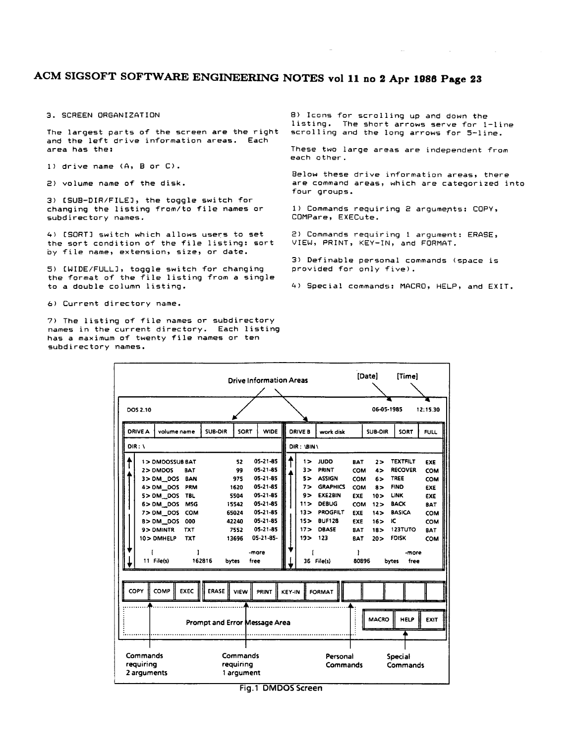3. SCREEN ORGANIZATION

The largest parts of the screen are the right and the left drive information areas. Each area has the:

I) drive name (A, B or C).

2) volume name of the disk.

3) [SUB-DIR/FILE], the toggle switch for changing the listing from/to file names or subdirectory names.

4) [SORT] switch which allows users to set the sort condition of the file listing: sort by file name, extension, size, or date.

5) [WIDE/FULL], toggle switch for changing the format of the file listing from a single to a double column listing.

6) Current directory name.

7) The listing of file names or subdirectory names in the current directory. Each listing has a maximum of twenty file names or ten subdirectory names.

8> Icons for scrolling up and down the listing. The short arrows serve for l-line scrolling and the long arrows for 5-line.

These two large areas are independent from each other.

Below these drive information areas, there are command areas, which are categorized into four groups.

1) Commands requiring 2 arguments: COPY, COMPare, EXECute.

2) Commands requiring I argument: ERASE, VIEW, PRINT, KEY-IN, and FORMAT.

3) Definable personal commands (space is provided for only five).

4) Special commands: MACRO, HELP, and EXIT.

| <b>Drive Information Areas</b>                                              |                                                                                                                                                     |                                                                                                                   |              |                                                                                              |                                                                                                                                      |                                                    |                                                                                  |                                                                                                                                                | [Date]                                                                                                                          | [Time]                                                                                        |                                                                                                                                                                   |                                                                           |
|-----------------------------------------------------------------------------|-----------------------------------------------------------------------------------------------------------------------------------------------------|-------------------------------------------------------------------------------------------------------------------|--------------|----------------------------------------------------------------------------------------------|--------------------------------------------------------------------------------------------------------------------------------------|----------------------------------------------------|----------------------------------------------------------------------------------|------------------------------------------------------------------------------------------------------------------------------------------------|---------------------------------------------------------------------------------------------------------------------------------|-----------------------------------------------------------------------------------------------|-------------------------------------------------------------------------------------------------------------------------------------------------------------------|---------------------------------------------------------------------------|
| DOS 2.10                                                                    |                                                                                                                                                     |                                                                                                                   |              |                                                                                              |                                                                                                                                      |                                                    |                                                                                  |                                                                                                                                                |                                                                                                                                 | 06-05-1985                                                                                    |                                                                                                                                                                   | 12:15.30                                                                  |
| <b>DRIVE A</b>                                                              | volume name                                                                                                                                         |                                                                                                                   | SUB-DIR      | SORT                                                                                         | <b>WIDE</b>                                                                                                                          |                                                    | <b>DRIVE B</b>                                                                   | work disk                                                                                                                                      |                                                                                                                                 | <b>SUB-DIR</b>                                                                                | SORT                                                                                                                                                              | <b>FULL</b>                                                               |
| $DIR: \mathcal{N}$<br>DIR: \BIN\                                            |                                                                                                                                                     |                                                                                                                   |              |                                                                                              |                                                                                                                                      |                                                    |                                                                                  |                                                                                                                                                |                                                                                                                                 |                                                                                               |                                                                                                                                                                   |                                                                           |
|                                                                             | 1> DMDOSSUB BAT<br>2> DMDOS<br>$3 > DM$ DOS<br>4> DM DOS<br>5> DM DOS<br>6>DM DOS<br>7> DM DOS<br>8>DM DOS<br>9> DMINTR<br>10> DMHELP<br>11 File(s) | <b>BAT</b><br><b>BAN</b><br>PRM<br><b>TBL</b><br><b>MSG</b><br><b>COM</b><br>000<br><b>TXT</b><br><b>TXT</b><br>1 | 162816       | 52<br>99<br>975<br>1620<br>5504<br>15542<br>65024<br>42240<br>7552<br>13696<br>free<br>bytes | 05-21-85<br>05-21-85<br>05-21-85<br>05-21-85<br>$05 - 21 - 85$<br>05-21-85<br>05-21-85<br>05-21-85<br>05-21-85<br>05-21-85-<br>-more |                                                    | 1><br>3><br>5><br>7><br>9><br>11><br>13><br>15 <sub>2</sub><br>17 ><br>19 ><br>ſ | <b>JUDD</b><br>PRINT<br><b>ASSIGN</b><br><b>GRAPHICS</b><br>EXE2BIN<br><b>DEBUG</b><br>PROGFILT<br><b>BUF128</b><br>DBASE<br>123<br>36 File(s) | <b>BAT</b><br><b>COM</b><br><b>COM</b><br>COM<br>EXE<br><b>COM</b><br><b>EXE</b><br><b>EXE</b><br><b>BAT</b><br><b>BAT</b><br>ł | 2><br>4><br>6><br>$8\geq$<br>10 ><br>12 ><br>14 ><br>16 ><br>18 <sub>2</sub><br>20 ><br>80896 | <b>TEXTFILT</b><br><b>RECOVER</b><br><b>TREE</b><br><b>FIND</b><br>LINK<br><b>BACK</b><br><b>BASICA</b><br>ю<br>123TUTO<br><b>FDISK</b><br>-more<br>free<br>bytes | EXE<br>COM<br>COM<br>EXE<br>EXE<br><b>BAT</b><br>COM<br>COM<br>BAT<br>COM |
| COPY                                                                        | COMP                                                                                                                                                | <b>EXEC</b>                                                                                                       | <b>ERASE</b> | <b>VIEW</b>                                                                                  | PRINT                                                                                                                                | <b>KEY-IN</b>                                      |                                                                                  | <b>FORMAT</b>                                                                                                                                  |                                                                                                                                 |                                                                                               |                                                                                                                                                                   |                                                                           |
| Prompt and Error Message Area                                               |                                                                                                                                                     |                                                                                                                   |              |                                                                                              |                                                                                                                                      |                                                    |                                                                                  |                                                                                                                                                |                                                                                                                                 | <b>MACRO</b>                                                                                  | <b>HELP</b>                                                                                                                                                       | <b>EXIT</b>                                                               |
| Commands<br>Commands<br>requiring<br>requiring<br>2 arguments<br>1 argument |                                                                                                                                                     |                                                                                                                   |              |                                                                                              |                                                                                                                                      | Personal<br><b>Special</b><br>Commands<br>Commands |                                                                                  |                                                                                                                                                |                                                                                                                                 |                                                                                               |                                                                                                                                                                   |                                                                           |

Fig.1 DMDOS Screen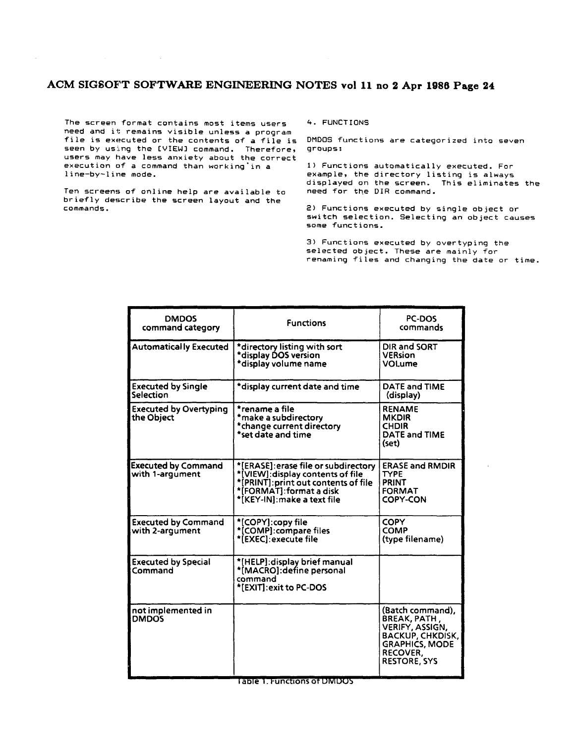The screen format contains most items users need and it remains visible unless a program file is executed or the contents of a file is seen by using the [VIEW] command. Therefore, users may have less anxiety about the correct execution of a command than working'in a line-by-line mode.

Ten screens of online help are available to briefly describe the screen layout and the commands.

4. FUNCTIONS

DMDOS functions are categorized into seven groups:

I) Functions automatically executed. For example, the directory listing is always displayed on the screen. This eliminates the need for the DIR command.

2) Functions executed by single object or switch selection. Selecting an object causes some functions.

3) Functions executed by overtyping the selected object. These are mainly for renaming files and changing the date or time.

| <b>DMDOS</b><br>command category              | <b>Functions</b>                                                                                                                                                           | PC-DOS<br>commands                                                                                                                         |
|-----------------------------------------------|----------------------------------------------------------------------------------------------------------------------------------------------------------------------------|--------------------------------------------------------------------------------------------------------------------------------------------|
| <b>Automatically Executed</b>                 | *directory listing with sort<br>*display DOS version<br>*display volume name                                                                                               | DIR and SORT<br><b>VERsion</b><br><b>VOLume</b>                                                                                            |
| <b>Executed by Single</b><br>Selection        | *display current date and time                                                                                                                                             | DATE and TIME<br>(display)                                                                                                                 |
| <b>Executed by Overtyping</b><br>the Object   | *rename a file<br>*make a subdirectory<br>*change current directory<br>*set date and time                                                                                  | <b>RENAME</b><br><b>MKDIR</b><br><b>CHDIR</b><br><b>DATE and TIME</b><br>(set)                                                             |
| <b>Executed by Command</b><br>with 1-arqument | *[ERASE]: erase file or subdirectory<br>*[VIEW]: display contents of file<br>*[PRINT]:print out contents of file<br>*[FORMAT]: format a disk<br>*[KEY-IN]:make a text file | <b>ERASE and RMDIR</b><br><b>TYPE</b><br>PRINT<br><b>FORMAT</b><br><b>COPY-CON</b>                                                         |
| <b>Executed by Command</b><br>with 2-argument | *[COPY]:copy file<br>*[COMP]:compare files<br>*[EXEC]:execute file                                                                                                         | <b>COPY</b><br><b>COMP</b><br>(type filename)                                                                                              |
| <b>Executed by Special</b><br>Command         | *[HELP]: display brief manual<br>*[MACRO]: define personal<br>command<br>*[EXIT]: exit to PC-DOS                                                                           |                                                                                                                                            |
| not implemented in<br><b>DMDOS</b>            |                                                                                                                                                                            | (Batch command),<br>BREAK, PATH,<br>VERIFY, ASSIGN,<br><b>BACKUP, CHKDISK,</b><br><b>GRAPHICS, MODE</b><br>RECOVER,<br><b>RESTORE, SYS</b> |

**Table 1. Functions of DIVIDOS**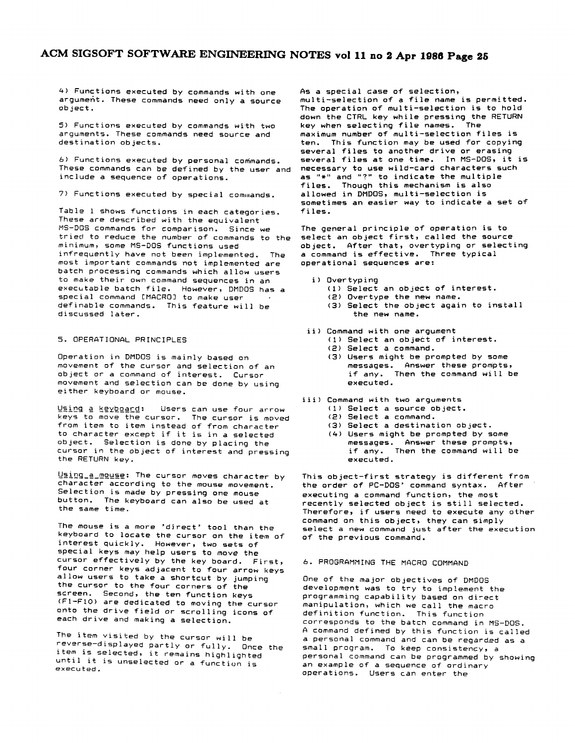4) Functions executed by commands with one argument. These commands need only a source object.

5) Functions executed by commands with two arguments. These commands need source and destination objects.

6) Functions executed by personal commands. These commands can be defined by the user and<br>include a sequence of operations.

7> Functions executed by special commands.

Table 1 shows functions in each categories. These are described with the equivalent MS-DOS commands for comparison. Since we tried to reduce the number of commands to the minimum, some MS-DOS functions used infrequently have not been implemented. The most important commands not implemented are batch processing commands which allow users to make their own command sequences in an executable batch file. However, DMDOS has a special command [MACRO] to make user definable commands. This feature will be discussed later.

### 5. OPERATIONAL PRINCIPLES

Operation in DMDOS is mainly based on movement of the cursor and selection of an object or a command of interest. Cursor movement and selection can be done by using either keyboard or mouse.

Using a keyboard: Users can use four arrow keys to move the cursor. The cursor is moved from item to item instead of from character to character except if it is in a selected object. Selection is done by placing the cursor in the object of interest and pressing the RETURN key.

Using a mouse: The cursor moves character by character according to the mouse movement. Selection is made by pressing one mouse button. The keyboard can also be used at the same time.

The mouse is a more 'direct' tool than the keyboard to locate the cursor on the item of interest quickly. However, two sets of special keys may help users to move the cursor effectively by the key board. First, four corner keys adjacent to four arrow keys allow users to take a shortcut by jumping the cursor to the four corners of the screen. Second, the ten function keys (FI-FIO) are dedicated to moving the cursor onto the drive field or scrolling icons of each drive and making a selection.

The item visited by the cursor will be reverse-displayed partly or fully. Once the item is selected, it remains highlighted until it is unselected or a function is executed.

As a special case of selection,

multi-selection of a file name is permitted. The operation of multi-selection is to hold down the CTRL key while pressing the RETURN key when selecting file names. The maximum number of multi-selection files is ten. This function may be used for copying several files to another drive or erasing several files at one time. In MS-DOS, it is<br>necessary to use wild-card characters such as "\*" and "?" to indicate the multiple files. Though this mechanism is also allowed in DMDOS, multi-selection is sometimes an easier way to indicate a set of files.

The general principle of operation is to select an object first, called the source object. After that, overtyping or selecting a command is effective. Three typical operational sequences are:

#### i) Overtyping

- (1) Select an object of interest.
- (2) Overtype the new name.
- (3) Select the object again to install the new name.

#### ii) Command with one argument

- (I) Select an object of interest.
- (2) Select a command.
- (3) Users might be prompted by some messages. Answer these prompts, if any. Then the command will be executed.
- iii) Command with two arguments
	- (1) Select a source object.
	- (2> Select a command.
	- (3) Select a destination object.
	- (4) Users might be prompted by some messages. Answer these prompts, if any. Then the command will be executed.

This object-first strategy is different from the order of PC-DOS' command syntax. After executing a command function, the most recently selected object is still selected. Therefore, if users need to execute any other command on this object, they can simply select a new command just after the execution of the previous command.

#### 6. PROGRAMMING THE MACRO COMMAND

One of the major objectives of DMDOS development was to try to implement the programming capability based on direct manipulation, which we call the macro definition function. This function corresponds to the batch command in MS-DOS. A command defined by this function is called a personal command and can be regarded as a small program. To keep consistency, a personal command can be programmed by showing an example of a sequence of ordinary operations. Users can enter the